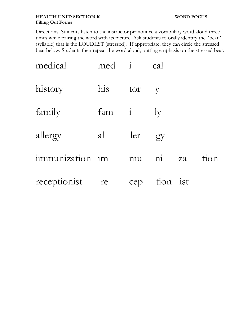## **HEALTH UNIT: SECTION 10 WORD FOCUS Filling Out Forms**

Directions: Students listen to the instructor pronounce a vocabulary word aloud three times while pairing the word with its picture. Ask students to orally identify the "beat" (syllable) that is the LOUDEST (stressed). If appropriate, they can circle the stressed beat below. Students then repeat the word aloud, putting emphasis on the stressed beat.

| medical         | med i |     | cal                    |    |      |
|-----------------|-------|-----|------------------------|----|------|
| history         | his   | tor | $\mathbf{V}$           |    |      |
| family          | fam i |     | $1_V$                  |    |      |
| allergy         | al    | ler | gy                     |    |      |
| immunization im |       | mu  | $\overline{\text{ni}}$ | za | tion |
| receptionist    | re    | cep | tion ist               |    |      |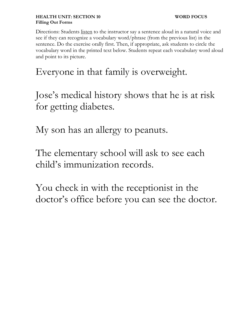Directions: Students <u>listen</u> to the instructor say a sentence aloud in a natural voice and see if they can recognize a vocabulary word/phrase (from the previous list) in the sentence. Do the exercise orally first. Then, if appropriate, ask students to circle the vocabulary word in the printed text below. Students repeat each vocabulary word aloud and point to its picture.

## Everyone in that family is overweight.

Jose's medical history shows that he is at risk for getting diabetes.

My son has an allergy to peanuts.

The elementary school will ask to see each child's immunization records.

You check in with the receptionist in the doctor's office before you can see the doctor.